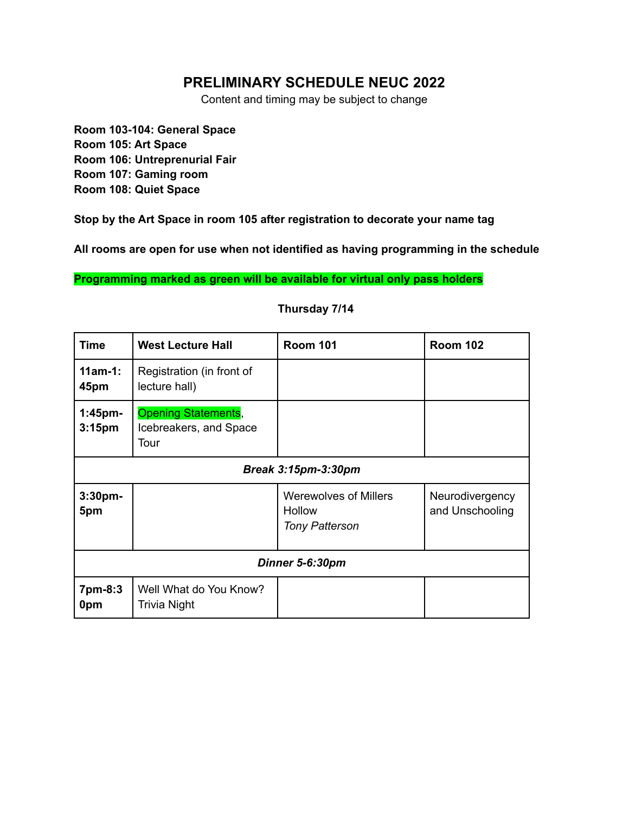### **PRELIMINARY SCHEDULE NEUC 2022**

Content and timing may be subject to change

**Room 103-104: General Space Room 105: Art Space Room 106: Untreprenurial Fair Room 107: Gaming room Room 108: Quiet Space**

**Stop by the Art Space in room 105 after registration to decorate your name tag**

**All rooms are open for use when not identified as having programming in the schedule**

**Programming marked as green will be available for virtual only pass holders**

| <b>Time</b>                      | <b>West Lecture Hall</b>                                     | <b>Room 101</b>                                                        | <b>Room 102</b>                    |  |  |
|----------------------------------|--------------------------------------------------------------|------------------------------------------------------------------------|------------------------------------|--|--|
| $11am-1$ :<br>45pm               | Registration (in front of<br>lecture hall)                   |                                                                        |                                    |  |  |
| $1:45$ pm-<br>3:15 <sub>pm</sub> | <b>Opening Statements,</b><br>Icebreakers, and Space<br>Tour |                                                                        |                                    |  |  |
| <b>Break 3:15pm-3:30pm</b>       |                                                              |                                                                        |                                    |  |  |
| 3:30 <sub>pm</sub><br>5pm        |                                                              | <b>Werewolves of Millers</b><br><b>Hollow</b><br><b>Tony Patterson</b> | Neurodivergency<br>and Unschooling |  |  |
| Dinner 5-6:30pm                  |                                                              |                                                                        |                                    |  |  |
| 7pm-8:3<br>0pm                   | Well What do You Know?<br>Trivia Night                       |                                                                        |                                    |  |  |

### **Thursday 7/14**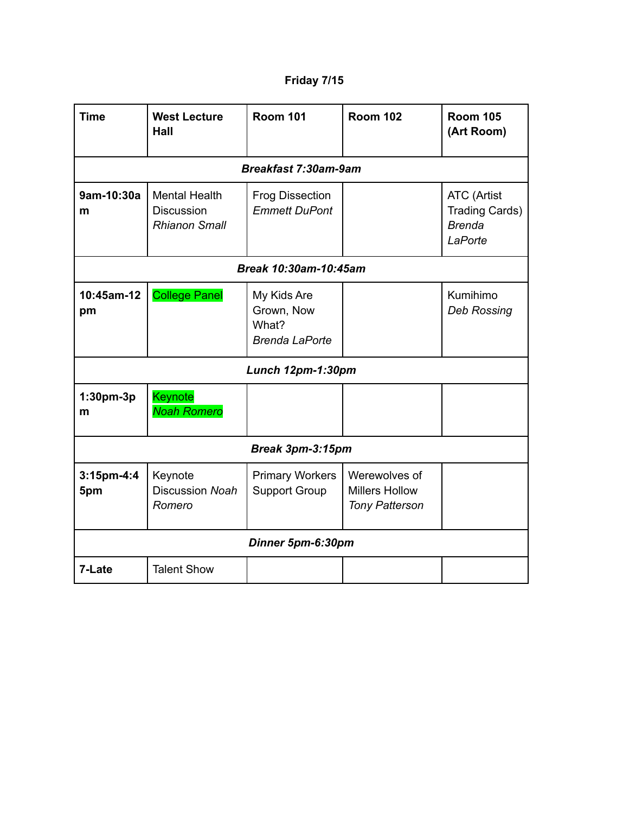# **Friday 7/15**

| <b>Time</b>                 | <b>West Lecture</b><br>Hall                                       | <b>Room 101</b>                                             | <b>Room 102</b>                                                 | <b>Room 105</b><br>(Art Room)                                           |  |  |
|-----------------------------|-------------------------------------------------------------------|-------------------------------------------------------------|-----------------------------------------------------------------|-------------------------------------------------------------------------|--|--|
| <b>Breakfast 7:30am-9am</b> |                                                                   |                                                             |                                                                 |                                                                         |  |  |
| 9am-10:30a<br>m             | <b>Mental Health</b><br><b>Discussion</b><br><b>Rhianon Small</b> | <b>Frog Dissection</b><br><b>Emmett DuPont</b>              |                                                                 | <b>ATC</b> (Artist<br><b>Trading Cards)</b><br><b>Brenda</b><br>LaPorte |  |  |
|                             | Break 10:30am-10:45am                                             |                                                             |                                                                 |                                                                         |  |  |
| 10:45am-12<br>pm            | <b>College Panel</b>                                              | My Kids Are<br>Grown, Now<br>What?<br><b>Brenda LaPorte</b> |                                                                 | Kumihimo<br><b>Deb Rossing</b>                                          |  |  |
|                             |                                                                   | Lunch 12pm-1:30pm                                           |                                                                 |                                                                         |  |  |
| 1:30pm-3p<br>m              | Keynote<br><b>Noah Romero</b>                                     |                                                             |                                                                 |                                                                         |  |  |
| Break 3pm-3:15pm            |                                                                   |                                                             |                                                                 |                                                                         |  |  |
| 3:15pm-4:4<br>5pm           | Keynote<br><b>Discussion Noah</b><br>Romero                       | <b>Primary Workers</b><br><b>Support Group</b>              | Werewolves of<br><b>Millers Hollow</b><br><b>Tony Patterson</b> |                                                                         |  |  |
| Dinner 5pm-6:30pm           |                                                                   |                                                             |                                                                 |                                                                         |  |  |
| 7-Late                      | <b>Talent Show</b>                                                |                                                             |                                                                 |                                                                         |  |  |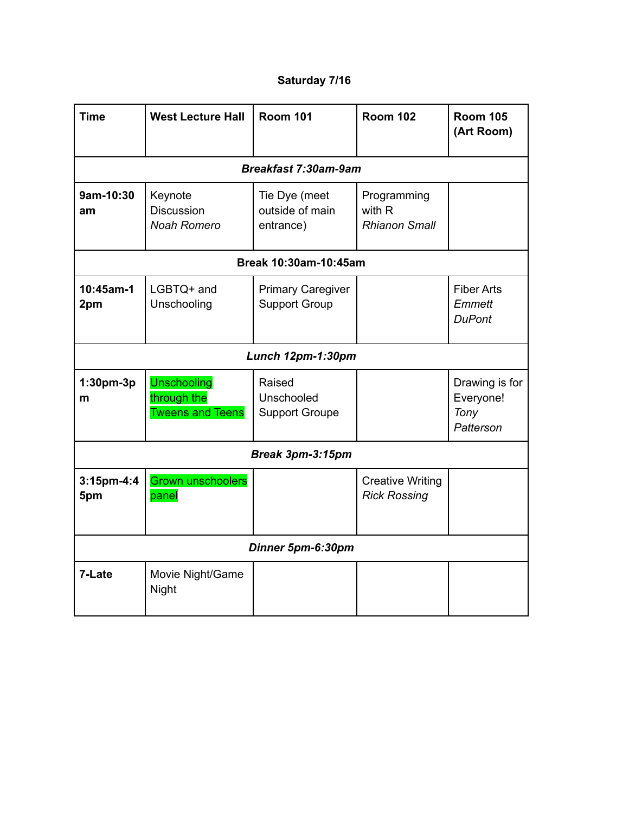# **Saturday 7/16**

| <b>Time</b>             | <b>West Lecture Hall</b>                                     | <b>Room 101</b>                                  | <b>Room 102</b>                                | <b>Room 105</b><br>(Art Room)                    |  |  |  |
|-------------------------|--------------------------------------------------------------|--------------------------------------------------|------------------------------------------------|--------------------------------------------------|--|--|--|
|                         | <b>Breakfast 7:30am-9am</b>                                  |                                                  |                                                |                                                  |  |  |  |
| 9am-10:30<br>am         | Keynote<br>Discussion<br><b>Noah Romero</b>                  | Tie Dye (meet<br>outside of main<br>entrance)    | Programming<br>with R<br><b>Rhianon Small</b>  |                                                  |  |  |  |
|                         | Break 10:30am-10:45am                                        |                                                  |                                                |                                                  |  |  |  |
| 10:45am-1<br>2pm        | LGBTQ+ and<br>Unschooling                                    | <b>Primary Caregiver</b><br><b>Support Group</b> |                                                | <b>Fiber Arts</b><br>Emmett<br><b>DuPont</b>     |  |  |  |
| Lunch 12pm-1:30pm       |                                                              |                                                  |                                                |                                                  |  |  |  |
| 1:30pm-3p<br>m          | <b>Unschooling</b><br>through the<br><b>Tweens and Teens</b> | Raised<br>Unschooled<br><b>Support Groupe</b>    |                                                | Drawing is for<br>Everyone!<br>Tony<br>Patterson |  |  |  |
| <b>Break 3pm-3:15pm</b> |                                                              |                                                  |                                                |                                                  |  |  |  |
| $3:15$ pm-4:4<br>5pm    | <b>Grown unschoolers</b><br>panel                            |                                                  | <b>Creative Writing</b><br><b>Rick Rossing</b> |                                                  |  |  |  |
| Dinner 5pm-6:30pm       |                                                              |                                                  |                                                |                                                  |  |  |  |
| 7-Late                  | Movie Night/Game<br>Night                                    |                                                  |                                                |                                                  |  |  |  |